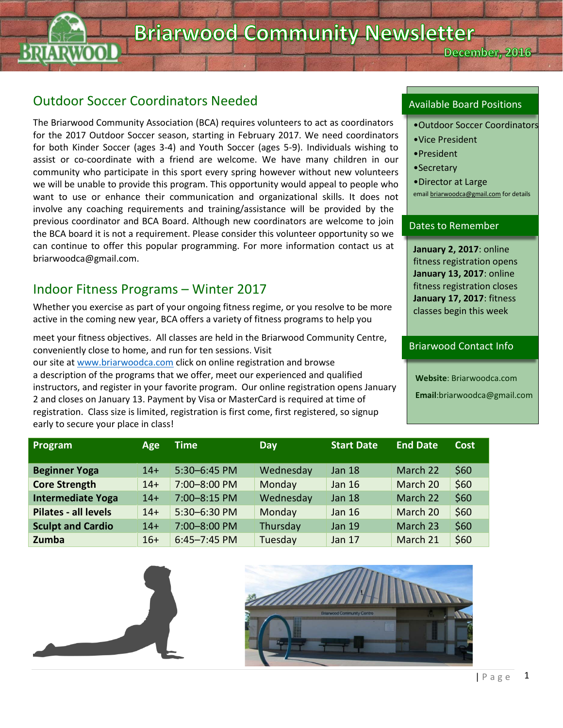## Outdoor Soccer Coordinators Needed

The Briarwood Community Association (BCA) requires volunteers to act as coordinators for the 2017 Outdoor Soccer season, starting in February 2017. We need coordinators for both Kinder Soccer (ages 3-4) and Youth Soccer (ages 5-9). Individuals wishing to assist or co-coordinate with a friend are welcome. We have many children in our community who participate in this sport every spring however without new volunteers we will be unable to provide this program. This opportunity would appeal to people who want to use or enhance their communication and organizational skills. It does not involve any coaching requirements and training/assistance will be provided by the previous coordinator and BCA Board. Although new coordinators are welcome to join the BCA board it is not a requirement. Please consider this volunteer opportunity so we can continue to offer this popular programming. For more information contact us at briarwoodca@gmail.com.

#### Indoor Fitness Programs – Winter 2017

Whether you exercise as part of your ongoing fitness regime, or you resolve to be more active in the coming new year, BCA offers a variety of fitness programs to help you

meet your fitness objectives. All classes are held in the Briarwood Community Centre, conveniently close to home, and run for ten sessions. Visit our site at [www.briarwoodca.com](http://www.briarwoodca.com/) click on online registration and browse a description of the programs that we offer, meet our experienced and qualified instructors, and register in your favorite program. Our online registration opens January 2 and closes on January 13. Payment by Visa or MasterCard is required at time of registration. Class size is limited, registration is first come, first registered, so signup early to secure your place in class!

#### Available Board Positions

•Outdoor Soccer Coordinators

December, 2016

- •Vice President
- •President
- •Secretary
- •Director at Large emai[l briarwoodca@gmail.com](mailto:briarwoodca@gmail.com) for details

#### Dates to Remember

**January 2, 2017**: online fitness registration opens **January 13, 2017**: online fitness registration closes **January 17, 2017**: fitness classes begin this week

#### Briarwood Contact Info

**Website**: Briarwoodca.com

**Email**:briarwoodca@gmail.com

| Program                  | Age   | Time             | Day       | <b>Start Date</b> | <b>End Date</b> | <b>Cost</b> |
|--------------------------|-------|------------------|-----------|-------------------|-----------------|-------------|
| <b>Beginner Yoga</b>     | $14+$ | 5:30-6:45 PM     | Wednesday | <b>Jan 18</b>     | March 22        | \$60        |
| <b>Core Strength</b>     | $14+$ | 7:00-8:00 PM     | Monday    | Jan 16            | March 20        | \$60        |
| Intermediate Yoga        | $14+$ | 7:00-8:15 PM     | Wednesday | <b>Jan 18</b>     | March 22        | \$60        |
| Pilates - all levels     | $14+$ | 5:30-6:30 PM     | Monday    | <b>Jan 16</b>     | March 20        | \$60        |
| <b>Sculpt and Cardio</b> | $14+$ | 7:00-8:00 PM     | Thursday  | <b>Jan 19</b>     | March 23        | \$60        |
| Zumba                    | $16+$ | $6:45 - 7:45$ PM | Tuesday   | <b>Jan 17</b>     | March 21        | \$60        |



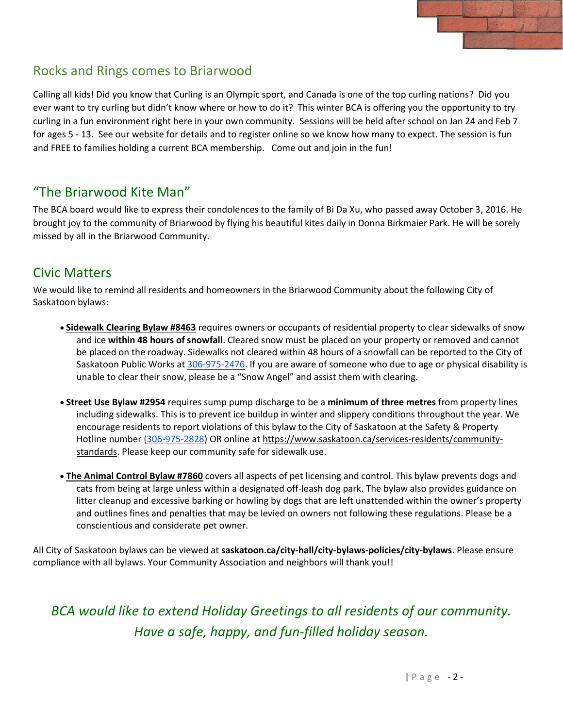

## Rocks and Rings comes to Briarwood

Calling all kids! Did you know that Curling is an Olympic sport, and Canada is one of the top curling nations? Did you ever want to try curling but didn't know where or how to do it? This winter BCA is offering you the opportunity to try curling in a fun environment right here in your own community. Sessions will be held after school on Jan 24 and Feb 7 for ages 5 - 13. See our website for details and to register online so we know how many to expect. The session is fun and FREE to families holding a current BCA membership. Come out and join in the fun!

#### "The Briarwood Kite Man"

The BCA board would like to express their condolences to the family of Bi Da Xu, who passed away October 3, 2016. He brought joy to the community of Briarwood by flying his beautiful kites daily in Donna Birkmaier Park. He will be sorely missed by all in the Briarwood Community.

### Civic Matters

We would like to remind all residents and homeowners in the Briarwood Community about the following City of Saskatoon bylaws:

- **Sidewalk Clearing Bylaw #8463** requires owners or occupants of residential property to clear sidewalks of snow and ice **within 48 hours of snowfall**. Cleared snow must be placed on your property or removed and cannot be placed on the roadway. Sidewalks not cleared within 48 hours of a snowfall can be reported to the City of Saskatoon Public Works at [306-975-2476.](tel:306-975-2476) If you are aware of someone who due to age or physical disability is unable to clear their snow, please be a "Snow Angel" and assist them with clearing.
- **Street Use Bylaw #2954** requires sump pump discharge to be a **minimum of three metres** from property lines including sidewalks. This is to prevent ice buildup in winter and slippery conditions throughout the year. We encourage residents to report violations of this bylaw to the City of Saskatoon at the Safety & Property Hotline number [\(306-975-2828\)](tel:%28306-975-2828) OR online at [https://www.saskatoon.ca/services-residents/community](https://www.saskatoon.ca/services-residents/community-standards)[standards.](https://www.saskatoon.ca/services-residents/community-standards) Please keep our community safe for sidewalk use.
- **The Animal Control Bylaw #7860** covers all aspects of pet licensing and control. This bylaw prevents dogs and cats from being at large unless within a designated off-leash dog park. The bylaw also provides guidance on litter cleanup and excessive barking or howling by dogs that are left unattended within the owner's property and outlines fines and penalties that may be levied on owners not following these regulations. Please be a conscientious and considerate pet owner.

All City of Saskatoon bylaws can be viewed at **[saskatoon.ca/city-hall/city-bylaws-policies/city-bylaws](http://saskatoon.ca/city-hall/city-bylaws-policies/city-bylaws)**. Please ensure compliance with all bylaws. Your Community Association and neighbors will thank you!!

*BCA would like to extend Holiday Greetings to all residents of our community. Have a safe, happy, and fun-filled holiday season.*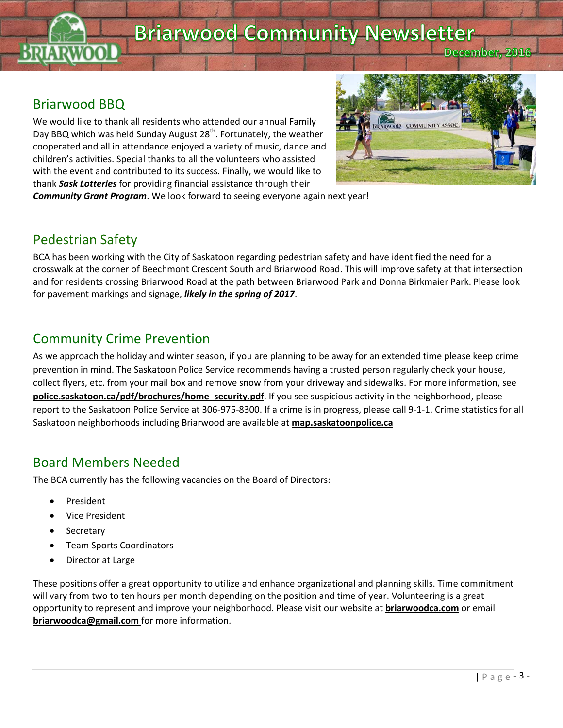# **Briarwood Community Newsletter**

December, 2016

### Briarwood BBQ

We would like to thank all residents who attended our annual Family Day BBQ which was held Sunday August 28<sup>th</sup>. Fortunately, the weather cooperated and all in attendance enjoyed a variety of music, dance and children's activities. Special thanks to all the volunteers who assisted with the event and contributed to its success. Finally, we would like to thank *Sask Lotteries* for providing financial assistance through their



*Community Grant Program*. We look forward to seeing everyone again next year!

#### Pedestrian Safety

BCA has been working with the City of Saskatoon regarding pedestrian safety and have identified the need for a crosswalk at the corner of Beechmont Crescent South and Briarwood Road. This will improve safety at that intersection and for residents crossing Briarwood Road at the path between Briarwood Park and Donna Birkmaier Park. Please look for pavement markings and signage, *likely in the spring of 2017*.

#### Community Crime Prevention

As we approach the holiday and winter season, if you are planning to be away for an extended time please keep crime prevention in mind. The Saskatoon Police Service recommends having a trusted person regularly check your house, collect flyers, etc. from your mail box and remove snow from your driveway and sidewalks. For more information, see **police.saskatoon.ca/pdf/brochures/home\_security.pdf**. If you see suspicious activity in the neighborhood, please report to the Saskatoon Police Service at 306-975-8300. If a crime is in progress, please call 9-1-1. Crime statistics for all Saskatoon neighborhoods including Briarwood are available at **map.saskatoonpolice.ca**

## Board Members Needed

The BCA currently has the following vacancies on the Board of Directors:

- President
- Vice President
- **Secretary**
- Team Sports Coordinators
- Director at Large

These positions offer a great opportunity to utilize and enhance organizational and planning skills. Time commitment will vary from two to ten hours per month depending on the position and time of year. Volunteering is a great opportunity to represent and improve your neighborhood. Please visit our website at **briarwoodca.com** or email **[briarwoodca@gmail.com](mailto:briarwoodca@gmail.com)** for more information.